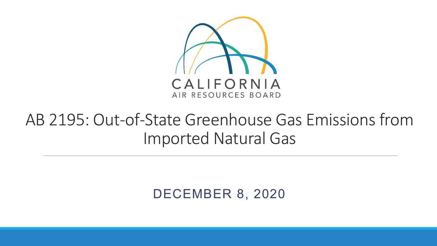

#### AB 2195: Out-of-State Greenhouse Gas Emissions from Imported Natural Gas

DECEMBER 8, 2020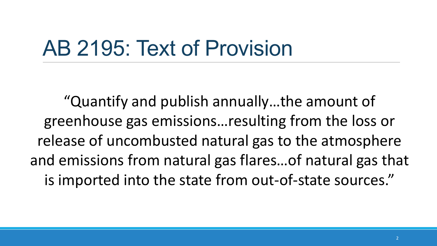# AB 2195: Text of Provision

"Quantify and publish annually…the amount of greenhouse gas emissions…resulting from the loss or release of uncombusted natural gas to the atmosphere and emissions from natural gas flares…of natural gas that is imported into the state from out-of-state sources."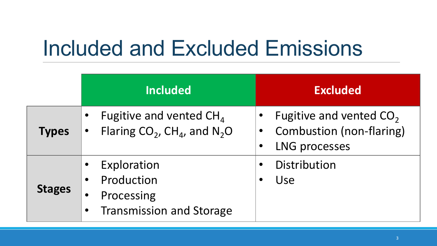# Included and Excluded Emissions

|               | <b>Included</b>                                                                                                                | <b>Excluded</b>                                                                                                      |
|---------------|--------------------------------------------------------------------------------------------------------------------------------|----------------------------------------------------------------------------------------------------------------------|
| <b>Types</b>  | Fugitive and vented $CH4$<br>$\bullet$<br>Flaring $CO_2$ , CH <sub>4</sub> , and N <sub>2</sub> O<br>$\bullet$                 | Fugitive and vented $CO2$<br>$\bullet$<br>Combustion (non-flaring)<br>$\bullet$<br><b>LNG processes</b><br>$\bullet$ |
| <b>Stages</b> | Exploration<br>$\bullet$<br>Production<br>$\bullet$<br>Processing<br>$\bullet$<br><b>Transmission and Storage</b><br>$\bullet$ | Distribution<br>$\bullet$<br>Use<br>$\bullet$                                                                        |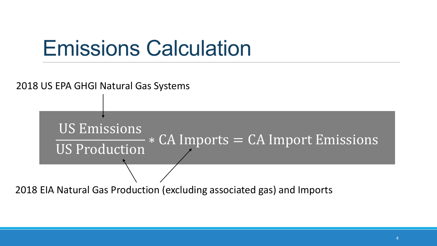### Emissions Calculation

# US Emissions US Production  $\overline{\ast$  CA Imports = CA Import Emissions 2018 US EPA GHGI Natural Gas Systems

2018 EIA Natural Gas Production (excluding associated gas) and Imports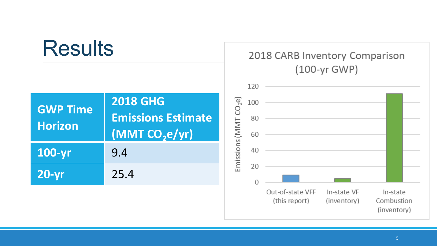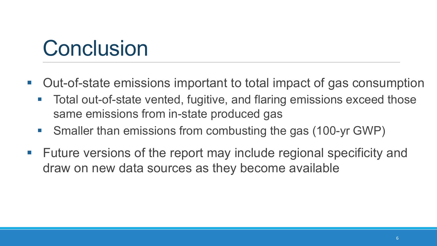# **Conclusion**

- Out-of-state emissions important to total impact of gas consumption
	- Total out-of-state vented, fugitive, and flaring emissions exceed those same emissions from in-state produced gas
	- Smaller than emissions from combusting the gas (100-yr GWP)
- $\blacksquare$  Future versions of the report may include regional specificity and draw on new data sources as they become available